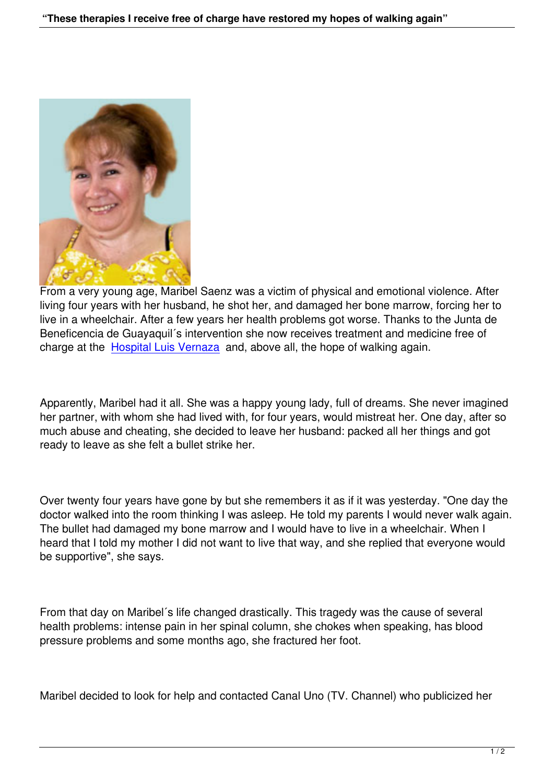

From a very young age, Maribel Saenz was a victim of physical and emotional violence. After living four years with her husband, he shot her, and damaged her bone marrow, forcing her to live in a wheelchair. After a few years her health problems got worse. Thanks to the Junta de Beneficencia de Guayaquil´s intervention she now receives treatment and medicine free of charge at the Hospital Luis Vernaza and, above all, the hope of walking again.

Apparently, M[aribel had it all. She wa](http://www.hospitalvernaza.med.ec)s a happy young lady, full of dreams. She never imagined her partner, with whom she had lived with, for four years, would mistreat her. One day, after so much abuse and cheating, she decided to leave her husband: packed all her things and got ready to leave as she felt a bullet strike her.

Over twenty four years have gone by but she remembers it as if it was yesterday. "One day the doctor walked into the room thinking I was asleep. He told my parents I would never walk again. The bullet had damaged my bone marrow and I would have to live in a wheelchair. When I heard that I told my mother I did not want to live that way, and she replied that everyone would be supportive", she says.

From that day on Maribel´s life changed drastically. This tragedy was the cause of several health problems: intense pain in her spinal column, she chokes when speaking, has blood pressure problems and some months ago, she fractured her foot.

Maribel decided to look for help and contacted Canal Uno (TV. Channel) who publicized her